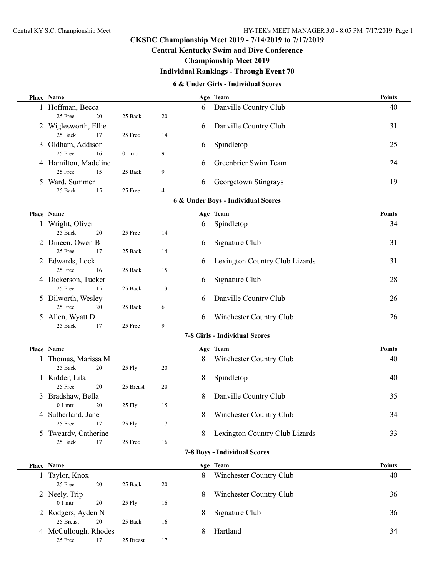## **Central Kentucky Swim and Dive Conference**

## **Championship Meet 2019**

# **Individual Rankings - Through Event 70**

#### **6 & Under Girls - Individual Scores**

|                                                                     | Place Name                              |           |    |                       | Age Team                       | <b>Points</b> |  |  |  |  |
|---------------------------------------------------------------------|-----------------------------------------|-----------|----|-----------------------|--------------------------------|---------------|--|--|--|--|
|                                                                     | 1 Hoffman, Becca                        |           |    | 6                     | Danville Country Club          | 40            |  |  |  |  |
|                                                                     | 25 Free<br>20                           | 25 Back   | 20 |                       |                                |               |  |  |  |  |
|                                                                     | 2 Wiglesworth, Ellie                    |           |    | 6                     | Danville Country Club          | 31            |  |  |  |  |
|                                                                     | 25 Back<br>17                           | 25 Free   | 14 |                       |                                |               |  |  |  |  |
|                                                                     | 3 Oldham, Addison                       |           |    | 6                     | Spindletop                     | 25            |  |  |  |  |
|                                                                     | 25 Free<br>16                           | $01$ mtr  | 9  |                       |                                |               |  |  |  |  |
|                                                                     | 4 Hamilton, Madeline                    |           |    | 6                     | Greenbrier Swim Team           | 24            |  |  |  |  |
|                                                                     | 25 Free<br>15                           | 25 Back   | 9  |                       |                                |               |  |  |  |  |
|                                                                     | 5 Ward, Summer                          |           |    | 6                     |                                | 19            |  |  |  |  |
|                                                                     |                                         |           |    |                       | Georgetown Stingrays           |               |  |  |  |  |
| 25 Back<br>25 Free<br>15<br>4<br>6 & Under Boys - Individual Scores |                                         |           |    |                       |                                |               |  |  |  |  |
|                                                                     |                                         |           |    |                       |                                |               |  |  |  |  |
|                                                                     | Place Name                              |           |    |                       | Age Team                       | <b>Points</b> |  |  |  |  |
|                                                                     | 1 Wright, Oliver                        |           |    | 6                     | Spindletop                     | 34            |  |  |  |  |
|                                                                     | 25 Back<br>20                           | 25 Free   | 14 |                       |                                |               |  |  |  |  |
|                                                                     | 2 Dineen, Owen B                        |           |    | 6                     | Signature Club                 | 31            |  |  |  |  |
|                                                                     | 25 Free<br>17                           | 25 Back   | 14 |                       |                                |               |  |  |  |  |
|                                                                     | 2 Edwards, Lock                         |           |    | 6                     | Lexington Country Club Lizards | 31            |  |  |  |  |
|                                                                     | 25 Free<br>16                           | 25 Back   | 15 |                       |                                |               |  |  |  |  |
|                                                                     | 4 Dickerson, Tucker                     |           |    | 6                     | Signature Club                 | 28            |  |  |  |  |
|                                                                     | 25 Free<br>15                           | 25 Back   | 13 |                       |                                |               |  |  |  |  |
|                                                                     | 5 Dilworth, Wesley                      |           |    | 6                     | Danville Country Club          | 26            |  |  |  |  |
|                                                                     | 25 Free<br>20                           | 25 Back   | 6  |                       |                                |               |  |  |  |  |
|                                                                     | 5 Allen, Wyatt D                        |           |    | 6                     | Winchester Country Club        | 26            |  |  |  |  |
|                                                                     | 25 Back<br>17                           | 25 Free   | 9  |                       |                                |               |  |  |  |  |
|                                                                     | <b>7-8 Girls - Individual Scores</b>    |           |    |                       |                                |               |  |  |  |  |
|                                                                     | <b>Points</b><br>Place Name<br>Age Team |           |    |                       |                                |               |  |  |  |  |
|                                                                     | 1 Thomas, Marissa M                     |           |    | 8                     | Winchester Country Club        | 40            |  |  |  |  |
|                                                                     | 25 Back<br>20                           | 25 Fly    | 20 |                       |                                |               |  |  |  |  |
|                                                                     | 1 Kidder, Lila                          |           |    | 8                     | Spindletop                     | 40            |  |  |  |  |
|                                                                     | 25 Free<br>20                           | 25 Breast | 20 |                       |                                |               |  |  |  |  |
|                                                                     | 3 Bradshaw, Bella                       |           | 8  | Danville Country Club | 35                             |               |  |  |  |  |
|                                                                     | $01$ mtr<br>20                          | 25 Fly    | 15 |                       |                                |               |  |  |  |  |
|                                                                     | 4 Sutherland, Jane                      |           |    | 8                     | Winchester Country Club        | 34            |  |  |  |  |
|                                                                     | 25 Free<br>17                           | 25 Fly    | 17 |                       |                                |               |  |  |  |  |
| 5                                                                   | Tweardy, Catherine                      |           |    | 8                     | Lexington Country Club Lizards | 33            |  |  |  |  |
|                                                                     | 25 Back<br>17                           | 25 Free   | 16 |                       |                                |               |  |  |  |  |
|                                                                     |                                         |           |    |                       |                                |               |  |  |  |  |
| <b>7-8 Boys - Individual Scores</b>                                 |                                         |           |    |                       |                                |               |  |  |  |  |
|                                                                     | Place Name                              |           |    |                       | Age Team                       | <b>Points</b> |  |  |  |  |
|                                                                     | 1 Taylor, Knox                          |           |    | 8                     | Winchester Country Club        | 40            |  |  |  |  |
|                                                                     | 25 Free<br>20                           | 25 Back   | 20 |                       |                                |               |  |  |  |  |
|                                                                     | 2 Neely, Trip                           |           |    | 8                     | Winchester Country Club        | 36            |  |  |  |  |
|                                                                     | $0\ 1\ \mathrm{mtr}$<br>20              | 25 Fly    | 16 |                       |                                |               |  |  |  |  |
|                                                                     | 2 Rodgers, Ayden N                      |           |    | 8                     | Signature Club                 | 36            |  |  |  |  |
|                                                                     | 25 Breast<br>20                         | 25 Back   | 16 |                       |                                |               |  |  |  |  |
|                                                                     | 4 McCullough, Rhodes                    |           |    | 8                     | Hartland                       | 34            |  |  |  |  |
|                                                                     | 25 Free<br>17                           | 25 Breast | 17 |                       |                                |               |  |  |  |  |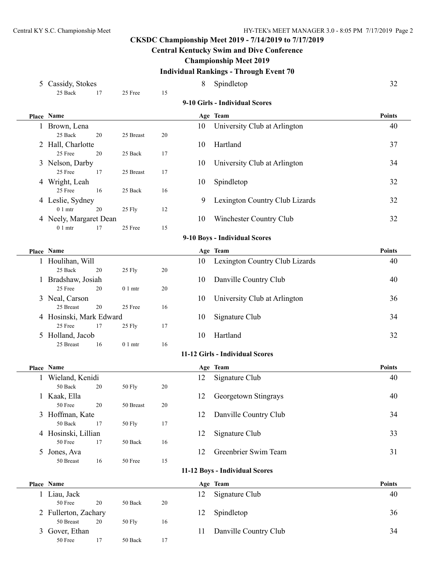# **Central Kentucky Swim and Dive Conference**

## **Championship Meet 2019**

## **Individual Rankings - Through Event 70**

| 5 Cassidy, Stokes                   |                 |    | 8  | Spindletop                      | 32            |  |  |  |  |
|-------------------------------------|-----------------|----|----|---------------------------------|---------------|--|--|--|--|
| 25 Back<br>17                       | 25 Free         | 15 |    |                                 |               |  |  |  |  |
| 9-10 Girls - Individual Scores      |                 |    |    |                                 |               |  |  |  |  |
| Place Name                          |                 |    |    | Age Team                        | <b>Points</b> |  |  |  |  |
| 1 Brown, Lena                       |                 |    | 10 | University Club at Arlington    | 40            |  |  |  |  |
| 25 Back<br>20                       | 25 Breast       | 20 |    |                                 |               |  |  |  |  |
| 2 Hall, Charlotte                   |                 |    | 10 | Hartland                        | 37            |  |  |  |  |
| 25 Free<br>20                       | 25 Back         | 17 |    |                                 |               |  |  |  |  |
| 3 Nelson, Darby                     |                 |    | 10 | University Club at Arlington    | 34            |  |  |  |  |
| 25 Free<br>17                       | 25 Breast       | 17 |    |                                 |               |  |  |  |  |
| 4 Wright, Leah<br>25 Free<br>16     | 25 Back         | 16 | 10 | Spindletop                      | 32            |  |  |  |  |
| 4 Leslie, Sydney                    |                 |    | 9  | Lexington Country Club Lizards  | 32            |  |  |  |  |
| $01$ mtr<br>20                      | 25 Fly          | 12 |    |                                 |               |  |  |  |  |
| 4 Neely, Margaret Dean              |                 |    | 10 | Winchester Country Club         | 32            |  |  |  |  |
| 01 <sub>mr</sub><br>17              | 25 Free         | 15 |    |                                 |               |  |  |  |  |
| 9-10 Boys - Individual Scores       |                 |    |    |                                 |               |  |  |  |  |
| Place Name                          |                 |    |    | Age Team                        | <b>Points</b> |  |  |  |  |
| 1 Houlihan, Will                    |                 |    | 10 | Lexington Country Club Lizards  | 40            |  |  |  |  |
| 25 Back<br>20                       | 25 Fly          | 20 |    |                                 |               |  |  |  |  |
| 1 Bradshaw, Josiah                  |                 |    | 10 | Danville Country Club           | 40            |  |  |  |  |
| 25 Free<br>20                       | $01$ mtr        | 20 |    |                                 |               |  |  |  |  |
| 3 Neal, Carson                      |                 |    | 10 | University Club at Arlington    | 36            |  |  |  |  |
| 25 Breast<br>20                     | 25 Free         | 16 |    |                                 |               |  |  |  |  |
| 4 Hosinski, Mark Edward             |                 |    | 10 | Signature Club                  | 34            |  |  |  |  |
| 25 Free<br>17                       | 25 Fly          | 17 |    |                                 |               |  |  |  |  |
| 5 Holland, Jacob<br>25 Breast<br>16 | $01$ mtr        | 16 | 10 | Hartland                        | 32            |  |  |  |  |
|                                     |                 |    |    | 11-12 Girls - Individual Scores |               |  |  |  |  |
| Place Name                          |                 |    |    | Age Team                        | <b>Points</b> |  |  |  |  |
| 1 Wieland, Kenidi                   |                 |    | 12 | Signature Club                  | 40            |  |  |  |  |
| 50 Back<br>20                       | <b>50 Fly</b>   | 20 |    |                                 |               |  |  |  |  |
| 1 Kaak, Ella                        |                 |    | 12 | Georgetown Stingrays            | 40            |  |  |  |  |
| 50 Free<br>$20\,$                   | 50 Breast       | 20 |    |                                 |               |  |  |  |  |
| 3 Hoffman, Kate                     |                 |    | 12 | Danville Country Club           | 34            |  |  |  |  |
| 50 Back<br>17                       | <b>50 Fly</b>   | 17 |    |                                 |               |  |  |  |  |
| 4 Hosinski, Lillian                 |                 |    | 12 | Signature Club                  | 33            |  |  |  |  |
| 50 Free<br>17                       | 50 Back         | 16 |    |                                 |               |  |  |  |  |
| 5 Jones, Ava                        |                 |    | 12 | Greenbrier Swim Team            | 31            |  |  |  |  |
| 50 Breast<br>16                     | 50 Free         | 15 |    |                                 |               |  |  |  |  |
|                                     |                 |    |    | 11-12 Boys - Individual Scores  |               |  |  |  |  |
| Place Name                          |                 |    |    | Age Team                        | <b>Points</b> |  |  |  |  |
| 1 Liau, Jack                        |                 |    | 12 | Signature Club                  | 40            |  |  |  |  |
| 50 Free<br>20                       | 50 Back         | 20 |    |                                 |               |  |  |  |  |
| 2 Fullerton, Zachary                |                 |    | 12 | Spindletop                      | 36            |  |  |  |  |
| 50 Breast<br>20                     | 50 Fly          | 16 |    |                                 |               |  |  |  |  |
| 3 Gover, Ethan                      |                 |    | 11 | Danville Country Club           | 34            |  |  |  |  |
| 50 Free<br>17                       | $50\ \rm{Back}$ | 17 |    |                                 |               |  |  |  |  |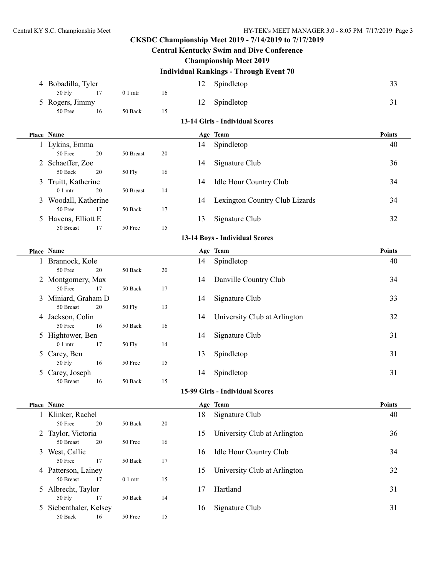## **Central Kentucky Swim and Dive Conference**

## **Championship Meet 2019**

# **Individual Rankings - Through Event 70**

|                                 | 4 Bobadilla, Tyler             |                    |    | 12 | Spindletop                      | 33            |  |  |  |
|---------------------------------|--------------------------------|--------------------|----|----|---------------------------------|---------------|--|--|--|
|                                 | <b>50 Fly</b><br>17            | $01$ mtr           | 16 |    |                                 |               |  |  |  |
|                                 | 5 Rogers, Jimmy                |                    |    | 12 | Spindletop                      | 31            |  |  |  |
|                                 | 50 Free<br>16                  | 50 Back            | 15 |    |                                 |               |  |  |  |
| 13-14 Girls - Individual Scores |                                |                    |    |    |                                 |               |  |  |  |
|                                 | Place Name                     |                    |    |    | Age Team                        | <b>Points</b> |  |  |  |
|                                 | 1 Lykins, Emma                 |                    |    | 14 | Spindletop                      | 40            |  |  |  |
|                                 | 50 Free<br>20                  | 50 Breast          | 20 |    |                                 |               |  |  |  |
|                                 | 2 Schaeffer, Zoe               |                    |    | 14 | Signature Club                  | 36            |  |  |  |
|                                 | 50 Back<br>20                  | 50 Fly             | 16 |    |                                 |               |  |  |  |
|                                 | 3 Truitt, Katherine            |                    |    | 14 | Idle Hour Country Club          | 34            |  |  |  |
|                                 | $01$ mtr<br>20                 | 50 Breast          | 14 |    |                                 |               |  |  |  |
|                                 | 3 Woodall, Katherine           |                    |    | 14 | Lexington Country Club Lizards  | 34            |  |  |  |
|                                 | 50 Free<br>17                  | 50 Back            | 17 |    |                                 |               |  |  |  |
|                                 | 5 Havens, Elliott E            |                    |    | 13 | Signature Club                  | 32            |  |  |  |
|                                 | 50 Breast<br>17                | 50 Free            | 15 |    |                                 |               |  |  |  |
|                                 | 13-14 Boys - Individual Scores |                    |    |    |                                 |               |  |  |  |
|                                 | Place Name                     |                    |    |    | Age Team                        | <b>Points</b> |  |  |  |
|                                 | 1 Brannock, Kole               |                    |    | 14 | Spindletop                      | 40            |  |  |  |
|                                 | 50 Free<br>20                  | 50 Back            | 20 |    |                                 |               |  |  |  |
|                                 | 2 Montgomery, Max              |                    |    | 14 | Danville Country Club           | 34            |  |  |  |
|                                 | 50 Free<br>17                  | 50 Back            | 17 |    |                                 |               |  |  |  |
|                                 | 3 Miniard, Graham D            |                    |    | 14 | Signature Club                  | 33            |  |  |  |
|                                 | 50 Breast<br>20                | 50 Fly             | 13 |    |                                 |               |  |  |  |
|                                 | 4 Jackson, Colin               |                    |    | 14 | University Club at Arlington    | 32            |  |  |  |
|                                 | 50 Free<br>16                  | 50 Back            | 16 |    |                                 |               |  |  |  |
|                                 | 5 Hightower, Ben               |                    |    | 14 | Signature Club                  | 31            |  |  |  |
|                                 | $01$ mtr<br>17                 | 50 Fly             | 14 |    |                                 |               |  |  |  |
|                                 | 5 Carey, Ben                   |                    |    | 13 | Spindletop                      | 31            |  |  |  |
|                                 | 50 Fly<br>16                   | 50 Free            | 15 |    |                                 |               |  |  |  |
|                                 | 5 Carey, Joseph                |                    |    | 14 | Spindletop                      | 31            |  |  |  |
|                                 | 50 Breast<br>16                | 50 Back            | 15 |    |                                 |               |  |  |  |
|                                 |                                |                    |    |    | 15-99 Girls - Individual Scores |               |  |  |  |
|                                 | Place Name                     |                    |    |    | Age Team                        | Points        |  |  |  |
|                                 | 1 Klinker, Rachel              |                    |    | 18 | Signature Club                  | 40            |  |  |  |
|                                 | 50 Free<br>20                  | 50 Back            | 20 |    |                                 |               |  |  |  |
|                                 | 2 Taylor, Victoria             |                    |    | 15 | University Club at Arlington    | 36            |  |  |  |
|                                 | 50 Breast<br>20                | 50 Free            | 16 |    |                                 |               |  |  |  |
|                                 | 3 West, Callie                 |                    |    | 16 | Idle Hour Country Club          | 34            |  |  |  |
|                                 | 50 Free<br>17                  | 50 Back            | 17 |    |                                 |               |  |  |  |
|                                 | 4 Patterson, Lainey            |                    |    | 15 | University Club at Arlington    | 32            |  |  |  |
|                                 | 50 Breast<br>17                | 0 <sub>1</sub> mtr | 15 |    |                                 |               |  |  |  |
|                                 | 5 Albrecht, Taylor             |                    |    | 17 | Hartland                        | 31            |  |  |  |
|                                 | <b>50 Fly</b><br>17            | 50 Back            | 14 |    |                                 |               |  |  |  |
|                                 | 5 Siebenthaler, Kelsey         |                    |    | 16 | Signature Club                  | 31            |  |  |  |
|                                 | $50\ \rm{Back}$<br>16          | 50 Free            | 15 |    |                                 |               |  |  |  |